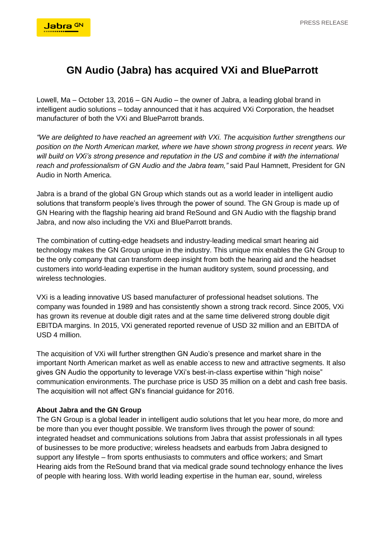## **GN Audio (Jabra) has acquired VXi and BlueParrott**

Lowell, Ma – October 13, 2016 – GN Audio – the owner of Jabra, a leading global brand in intelligent audio solutions – today announced that it has acquired VXi Corporation, the headset manufacturer of both the VXi and BlueParrott brands.

*"We are delighted to have reached an agreement with VXi. The acquisition further strengthens our position on the North American market, where we have shown strong progress in recent years. We*  will build on VXi's strong presence and reputation in the US and combine it with the international *reach and professionalism of GN Audio and the Jabra team,"* said Paul Hamnett, President for GN Audio in North America.

Jabra is a brand of the global GN Group which stands out as a world leader in intelligent audio solutions that transform people's lives through the power of sound. The GN Group is made up of GN Hearing with the flagship hearing aid brand ReSound and GN Audio with the flagship brand Jabra, and now also including the VXi and BlueParrott brands.

The combination of cutting-edge headsets and industry-leading medical smart hearing aid technology makes the GN Group unique in the industry. This unique mix enables the GN Group to be the only company that can transform deep insight from both the hearing aid and the headset customers into world-leading expertise in the human auditory system, sound processing, and wireless technologies.

VXi is a leading innovative US based manufacturer of professional headset solutions. The company was founded in 1989 and has consistently shown a strong track record. Since 2005, VXi has grown its revenue at double digit rates and at the same time delivered strong double digit EBITDA margins. In 2015, VXi generated reported revenue of USD 32 million and an EBITDA of USD 4 million.

The acquisition of VXi will further strengthen GN Audio's presence and market share in the important North American market as well as enable access to new and attractive segments. It also gives GN Audio the opportunity to leverage VXi's best-in-class expertise within "high noise" communication environments. The purchase price is USD 35 million on a debt and cash free basis. The acquisition will not affect GN's financial guidance for 2016.

## **About Jabra and the GN Group**

The GN Group is a global leader in intelligent audio solutions that let you hear more, do more and be more than you ever thought possible. We transform lives through the power of sound: integrated headset and communications solutions from Jabra that assist professionals in all types of businesses to be more productive; wireless headsets and earbuds from Jabra designed to support any lifestyle – from sports enthusiasts to commuters and office workers; and Smart Hearing aids from the ReSound brand that via medical grade sound technology enhance the lives of people with hearing loss. With world leading expertise in the human ear, sound, wireless